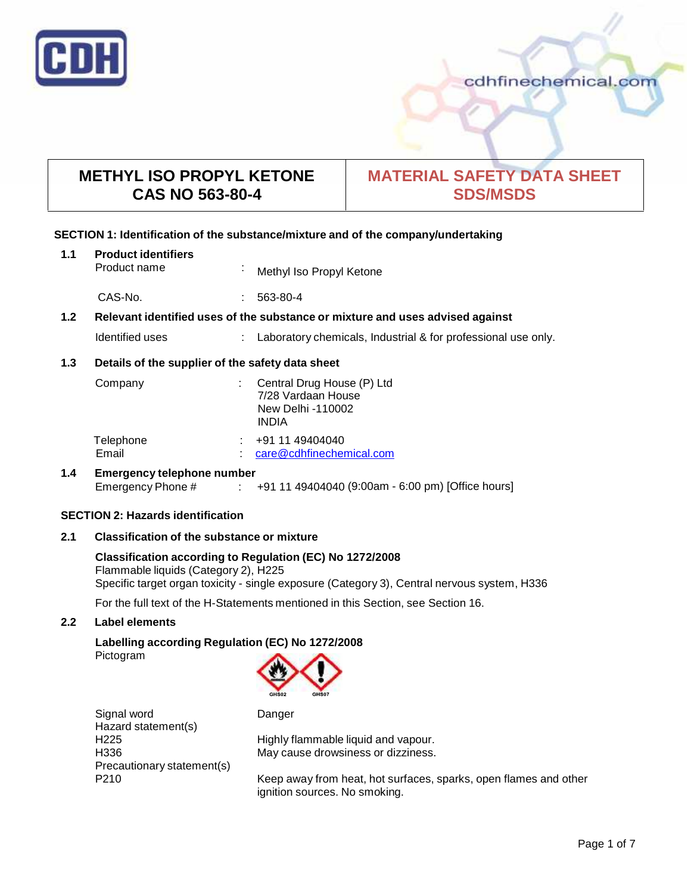

cdhfinechemical.com

# **METHYL ISO PROPYL KETONE CAS NO 563-80-4**

# **MATERIAL SAFETY DATA SHEET SDS/MSDS**

#### **SECTION 1: Identification of the substance/mixture and of the company/undertaking**

| 1.1              | <b>Product identifiers</b><br>Product name       |  | Methyl Iso Propyl Ketone                                                              |
|------------------|--------------------------------------------------|--|---------------------------------------------------------------------------------------|
|                  | CAS-No.                                          |  | 563-80-4                                                                              |
| 1.2 <sub>2</sub> |                                                  |  | Relevant identified uses of the substance or mixture and uses advised against         |
|                  | Identified uses                                  |  | Laboratory chemicals, Industrial & for professional use only.                         |
| 1.3              | Details of the supplier of the safety data sheet |  |                                                                                       |
|                  | Company                                          |  | Central Drug House (P) Ltd<br>7/28 Vardaan House<br>New Delhi -110002<br><b>INDIA</b> |
|                  | Telephone<br>Email                               |  | $\div$ +91 11 49404040<br>care@cdhfinechemical.com                                    |
| $1.4^{\circ}$    | <b>Emergency telephone number</b>                |  |                                                                                       |
|                  | Emergency Phone #                                |  | $\pm$ +91 11 49404040 (9:00am - 6:00 pm) [Office hours]                               |

#### **SECTION 2: Hazards identification**

#### **2.1 Classification of the substance ormixture**

# **Classification according to Regulation (EC) No 1272/2008** Flammable liquids (Category 2), H225 Specific target organ toxicity - single exposure (Category 3), Central nervous system, H336

For the full text of the H-Statements mentioned in this Section, see Section 16.

### **2.2 Label elements**

# **Labelling according Regulation (EC) No 1272/2008**

Pictogram



Signal word Danger Hazard statement(s)<br>H225 Precautionary statement(s)

Highly flammable liquid and vapour. H336 May cause drowsiness or dizziness.

P210 **Keep away from heat, hot surfaces, sparks, open flames and other** part of the Keep away from heat, hot surfaces, sparks, open flames and other ignition sources. No smoking.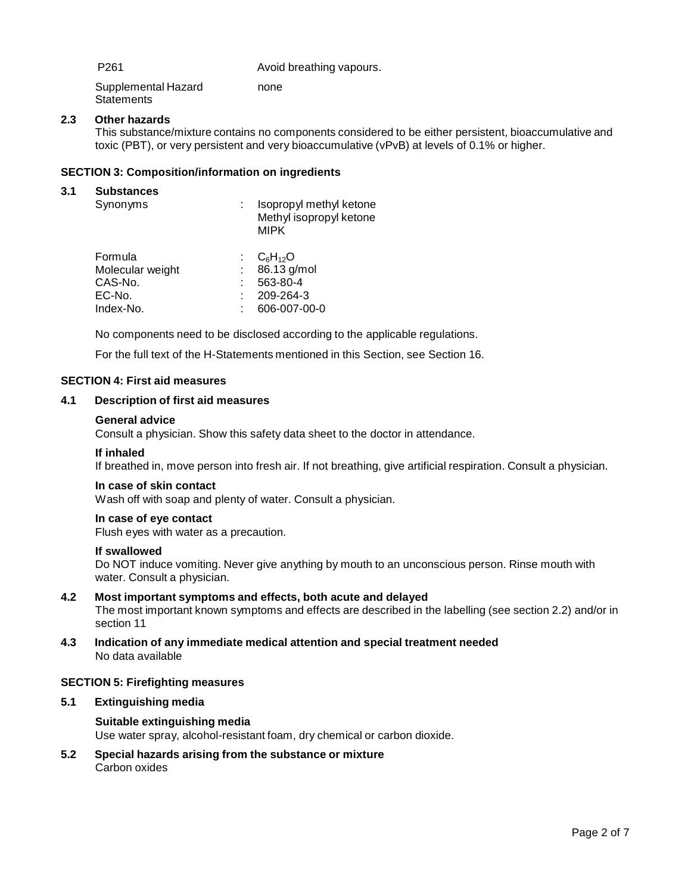Avoid breathing vapours.

Supplemental Hazard **Statements** none

#### **2.3 Other hazards**

This substance/mixture contains no components considered to be either persistent, bioaccumulative and toxic (PBT), or very persistent and very bioaccumulative (vPvB) at levels of 0.1% or higher.

#### **SECTION 3: Composition/information on ingredients**

#### **3.1 Substances**

| Synonyms         | Isopropyl methyl ketone<br>Methyl isopropyl ketone<br><b>MIPK</b> |
|------------------|-------------------------------------------------------------------|
| Formula          | $C_6H_{12}O$                                                      |
| Molecular weight | 86.13 g/mol                                                       |
| CAS-No.          | 563-80-4                                                          |
| EC-No.           | 209-264-3                                                         |
| Index-No.        | 606-007-00-0                                                      |

No components need to be disclosed according to the applicable regulations.

For the full text of the H-Statements mentioned in this Section, see Section 16.

# **SECTION 4: First aid measures**

#### **4.1 Description of first aid measures**

#### **General advice**

Consult a physician. Show this safety data sheet to the doctor in attendance.

#### **If inhaled**

If breathed in, move person into fresh air. If not breathing, give artificial respiration. Consult a physician.

#### **In case of skin contact**

Wash off with soap and plenty of water. Consult a physician.

# **In case of eye contact**

Flush eyes with water as a precaution.

#### **If swallowed**

Do NOT induce vomiting. Never give anything by mouth to an unconscious person. Rinse mouth with water. Consult a physician.

# **4.2 Most important symptoms and effects, both acute and delayed**

The most important known symptoms and effects are described in the labelling (see section 2.2) and/or in section 11

**4.3 Indication of any immediate medical attention and special treatment needed** No data available

#### **SECTION 5: Firefighting measures**

#### **5.1 Extinguishing media**

## **Suitable extinguishing media**

Use water spray, alcohol-resistant foam, dry chemical or carbon dioxide.

**5.2 Special hazards arising from the substance ormixture** Carbon oxides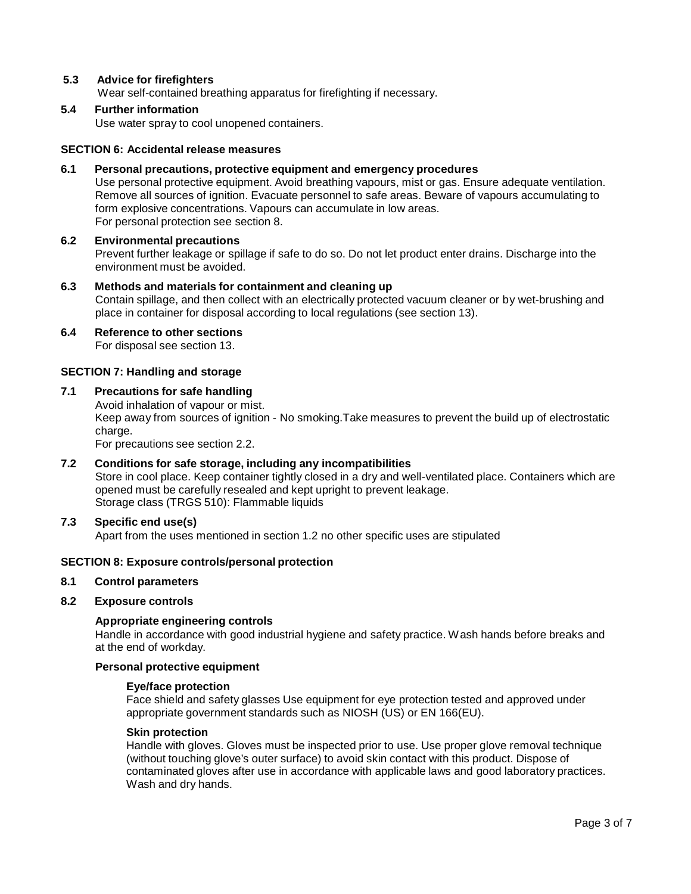# **5.3 Advice for firefighters**

Wear self-contained breathing apparatus for firefighting if necessary.

**5.4 Further information** Use water spray to cool unopened containers.

#### **SECTION 6: Accidental release measures**

### **6.1 Personal precautions, protective equipment and emergency procedures**

Use personal protective equipment. Avoid breathing vapours, mist or gas. Ensure adequate ventilation. Remove all sources of ignition. Evacuate personnel to safe areas. Beware of vapours accumulating to form explosive concentrations. Vapours can accumulate in low areas. For personal protection see section 8.

# **6.2 Environmental precautions**

Prevent further leakage or spillage if safe to do so. Do not let product enter drains. Discharge into the environment must be avoided.

#### **6.3 Methods and materials for containment and cleaning up** Contain spillage, and then collect with an electrically protected vacuum cleaner or by wet-brushing and place in container for disposal according to local regulations (see section 13).

#### **6.4 Reference to other sections** For disposal see section 13.

#### **SECTION 7: Handling and storage**

# **7.1 Precautions for safe handling**

Avoid inhalation of vapour or mist. Keep away from sources of ignition - No smoking.Take measures to prevent the build up of electrostatic charge.

For precautions see section 2.2.

#### **7.2 Conditions for safe storage, including any incompatibilities**

Store in cool place. Keep container tightly closed in a dry and well-ventilated place. Containers which are opened must be carefully resealed and kept upright to prevent leakage. Storage class (TRGS 510): Flammable liquids

#### **7.3 Specific end use(s)**

Apart from the uses mentioned in section 1.2 no other specific uses are stipulated

#### **SECTION 8: Exposure controls/personal protection**

#### **8.1 Control parameters**

#### **8.2 Exposure controls**

#### **Appropriate engineering controls**

Handle in accordance with good industrial hygiene and safety practice. Wash hands before breaks and at the end of workday.

#### **Personal protective equipment**

#### **Eye/face protection**

Face shield and safety glasses Use equipment for eye protection tested and approved under appropriate government standards such as NIOSH (US) or EN 166(EU).

#### **Skin protection**

Handle with gloves. Gloves must be inspected prior to use. Use proper glove removal technique (without touching glove's outer surface) to avoid skin contact with this product. Dispose of contaminated gloves after use in accordance with applicable laws and good laboratory practices. Wash and dry hands.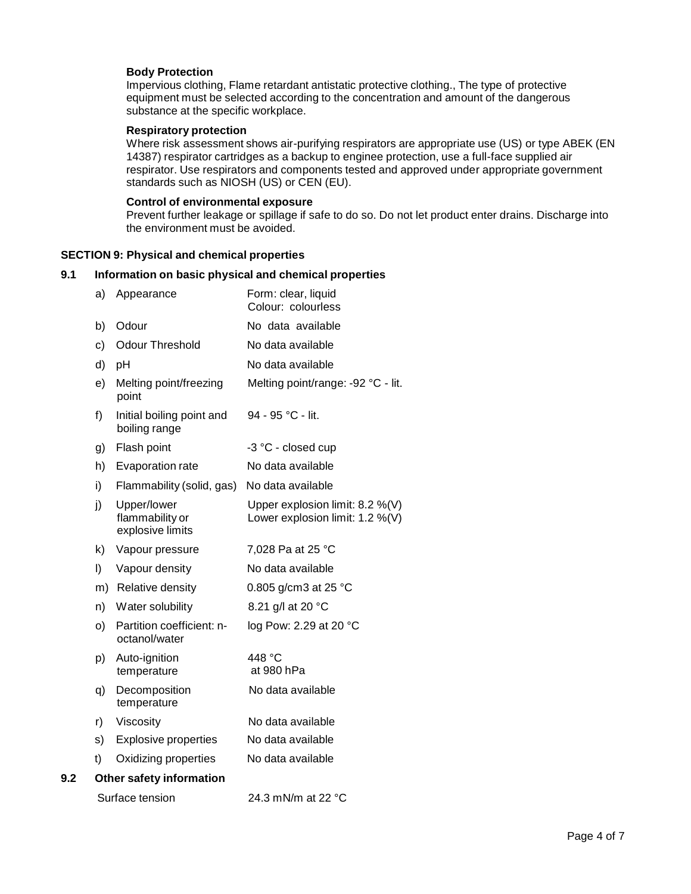#### **Body Protection**

Impervious clothing, Flame retardant antistatic protective clothing., The type of protective equipment must be selected according to the concentration and amount of the dangerous substance at the specific workplace.

#### **Respiratory protection**

Where risk assessment shows air-purifying respirators are appropriate use (US) or type ABEK (EN 14387) respirator cartridges as a backup to enginee protection, use a full-face supplied air respirator. Use respirators and components tested and approved under appropriate government standards such as NIOSH (US) or CEN (EU).

#### **Control of environmental exposure**

Prevent further leakage or spillage if safe to do so. Do not let product enter drains. Discharge into the environment must be avoided.

# **SECTION 9: Physical and chemical properties**

# **9.1 Information on basic physical and chemical properties**

|     | a) | Appearance                                         | Form: clear, liquid<br>Colour: colourless                          |
|-----|----|----------------------------------------------------|--------------------------------------------------------------------|
|     | b) | Odour                                              | No data available                                                  |
|     | C) | <b>Odour Threshold</b>                             | No data available                                                  |
|     | d) | рH                                                 | No data available                                                  |
|     | e) | Melting point/freezing<br>point                    | Melting point/range: -92 °C - lit.                                 |
|     | f) | Initial boiling point and<br>boiling range         | 94 - 95 °C - lit.                                                  |
|     | g) | Flash point                                        | -3 °C - closed cup                                                 |
|     | h) | Evaporation rate                                   | No data available                                                  |
|     | i) | Flammability (solid, gas)                          | No data available                                                  |
|     | j) | Upper/lower<br>flammability or<br>explosive limits | Upper explosion limit: 8.2 %(V)<br>Lower explosion limit: 1.2 %(V) |
|     | k) | Vapour pressure                                    | 7,028 Pa at 25 °C                                                  |
|     | I) | Vapour density                                     | No data available                                                  |
|     | m) | Relative density                                   | 0.805 g/cm3 at 25 $^{\circ}$ C                                     |
|     | n) | Water solubility                                   | 8.21 g/l at 20 °C                                                  |
|     | O) | Partition coefficient: n-<br>octanol/water         | log Pow: 2.29 at 20 °C                                             |
|     | p) | Auto-ignition<br>temperature                       | 448 °C<br>at 980 hPa                                               |
|     | q) | Decomposition<br>temperature                       | No data available                                                  |
|     | r) | Viscosity                                          | No data available                                                  |
|     | s) | <b>Explosive properties</b>                        | No data available                                                  |
|     | t) | Oxidizing properties                               | No data available                                                  |
| 9.2 |    | Other safety information                           |                                                                    |
|     |    | Surface tension                                    | 24.3 mN/m at 22 °C                                                 |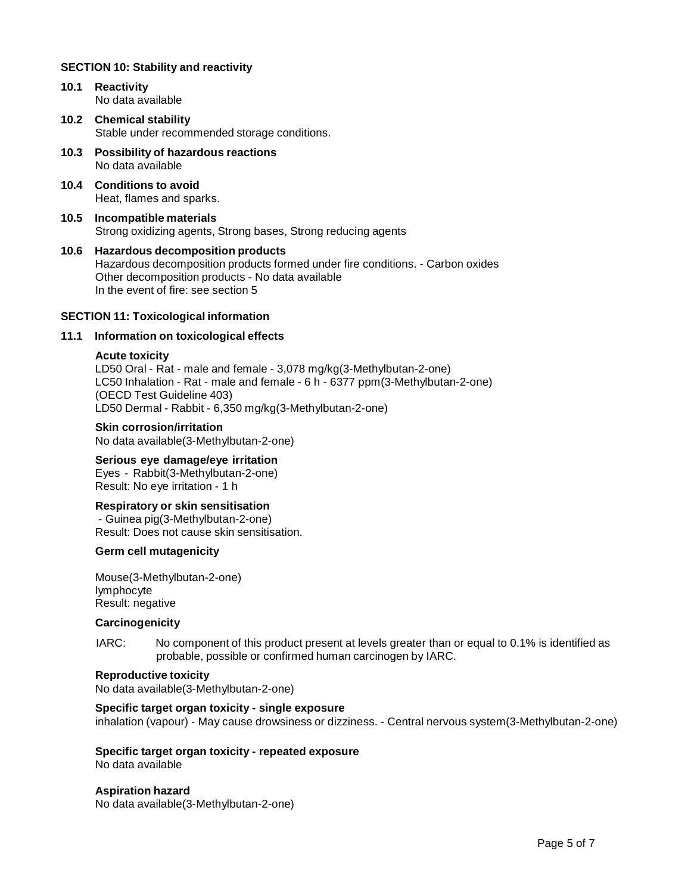# **SECTION 10: Stability and reactivity**

- **10.1 Reactivity** No data available
- **10.2 Chemical stability** Stable under recommended storage conditions.
- **10.3 Possibility of hazardous reactions** No data available
- **10.4 Conditions to avoid** Heat, flames and sparks.

**10.5 Incompatible materials** Strong oxidizing agents, Strong bases, Strong reducing agents

**10.6 Hazardous decomposition products** Hazardous decomposition products formed under fire conditions. - Carbon oxides Other decomposition products - No data available In the event of fire: see section 5

#### **SECTION 11: Toxicological information**

# **11.1 Information on toxicological effects**

#### **Acute toxicity**

LD50 Oral - Rat - male and female - 3,078 mg/kg(3-Methylbutan-2-one) LC50 Inhalation - Rat - male and female - 6 h - 6377 ppm(3-Methylbutan-2-one) (OECD Test Guideline 403) LD50 Dermal - Rabbit - 6,350 mg/kg(3-Methylbutan-2-one)

**Skin corrosion/irritation** No data available(3-Methylbutan-2-one)

**Serious eye damage/eye irritation** Eyes - Rabbit(3-Methylbutan-2-one) Result: No eye irritation - 1 h

#### **Respiratory or skin sensitisation**

- Guinea pig(3-Methylbutan-2-one) Result: Does not cause skin sensitisation.

#### **Germ cell mutagenicity**

Mouse(3-Methylbutan-2-one) lymphocyte Result: negative

### **Carcinogenicity**

IARC: No component of this product present at levels greater than or equal to 0.1% is identified as probable, possible or confirmed human carcinogen by IARC.

**Reproductive toxicity**

No data available(3-Methylbutan-2-one)

# **Specific target organ toxicity - single exposure**

inhalation (vapour) - May cause drowsiness or dizziness. - Central nervous system(3-Methylbutan-2-one)

## **Specific target organ toxicity - repeated exposure**

No data available

**Aspiration hazard** No data available(3-Methylbutan-2-one)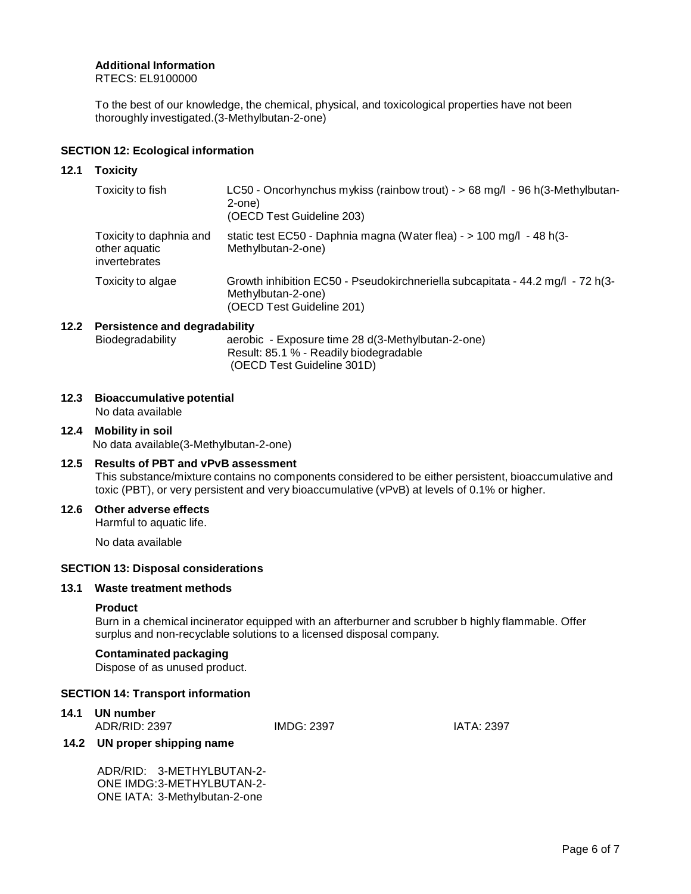# **Additional Information**

RTECS: EL9100000

To the best of our knowledge, the chemical, physical, and toxicological properties have not been thoroughly investigated.(3-Methylbutan-2-one)

# **SECTION 12: Ecological information**

# **12.1 Toxicity**

| Toxicity to fish                                          | LC50 - Oncorhynchus mykiss (rainbow trout) - $> 68$ mg/l - 96 h(3-Methylbutan-<br>$2$ -one $)$<br>(OECD Test Guideline 203)       |
|-----------------------------------------------------------|-----------------------------------------------------------------------------------------------------------------------------------|
| Toxicity to daphnia and<br>other aquatic<br>invertebrates | static test EC50 - Daphnia magna (Water flea) - > 100 mg/l - 48 h(3-<br>Methylbutan-2-one)                                        |
| Toxicity to algae                                         | Growth inhibition EC50 - Pseudokirchneriella subcapitata - 44.2 mg/l - 72 h(3-<br>Methylbutan-2-one)<br>(OECD Test Guideline 201) |

#### **12.2 Persistence and degradability**

Biodegradability aerobic - Exposure time 28 d(3-Methylbutan-2-one) Result: 85.1 % - Readily biodegradable (OECD Test Guideline 301D)

**12.3 Bioaccumulative potential** No data available

**12.4 Mobility in soil**

No data available(3-Methylbutan-2-one)

# **12.5 Results of PBT and vPvB assessment**

This substance/mixture contains no components considered to be either persistent, bioaccumulative and toxic (PBT), or very persistent and very bioaccumulative (vPvB) at levels of 0.1% or higher.

#### **12.6 Other adverse effects**

Harmful to aquatic life.

No data available

#### **SECTION 13: Disposal considerations**

#### **13.1 Waste treatment methods**

#### **Product**

Burn in a chemical incinerator equipped with an afterburner and scrubber b highly flammable. Offer surplus and non-recyclable solutions to a licensed disposal company.

#### **Contaminated packaging**

Dispose of as unused product.

#### **SECTION 14: Transport information**

# **14.1 UN number**

ADR/RID: 2397 IMDG: 2397 IMDG: 2397

#### **14.2 UN proper shipping name**

ADR/RID: 3-METHYLBUTAN-2- ONE IMDG:3-METHYLBUTAN-2- ONE IATA: 3-Methylbutan-2-one